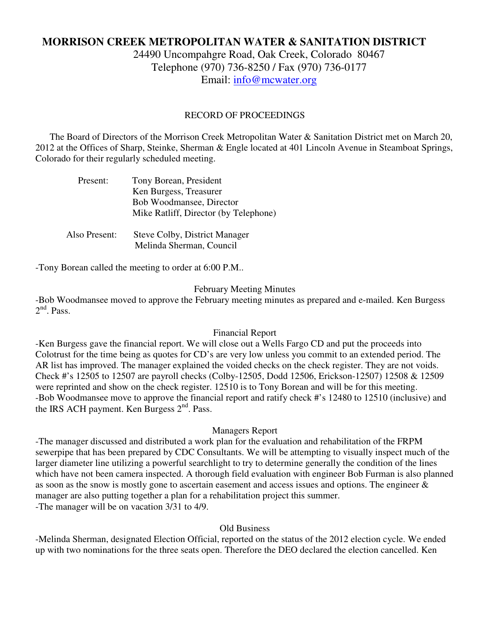# **MORRISON CREEK METROPOLITAN WATER & SANITATION DISTRICT**

24490 Uncompahgre Road, Oak Creek, Colorado 80467 Telephone (970) 736-8250 / Fax (970) 736-0177 Email: info@mcwater.org

## RECORD OF PROCEEDINGS

 The Board of Directors of the Morrison Creek Metropolitan Water & Sanitation District met on March 20, 2012 at the Offices of Sharp, Steinke, Sherman & Engle located at 401 Lincoln Avenue in Steamboat Springs, Colorado for their regularly scheduled meeting.

| Present:      | Tony Borean, President                |
|---------------|---------------------------------------|
|               | Ken Burgess, Treasurer                |
|               | Bob Woodmansee, Director              |
|               | Mike Ratliff, Director (by Telephone) |
|               |                                       |
| Also Present: | Steve Colby, District Manager         |
|               | Melinda Sherman, Council              |

-Tony Borean called the meeting to order at 6:00 P.M..

## February Meeting Minutes

-Bob Woodmansee moved to approve the February meeting minutes as prepared and e-mailed. Ken Burgess  $2<sup>nd</sup>$ . Pass.

## Financial Report

-Ken Burgess gave the financial report. We will close out a Wells Fargo CD and put the proceeds into Colotrust for the time being as quotes for CD's are very low unless you commit to an extended period. The AR list has improved. The manager explained the voided checks on the check register. They are not voids. Check #'s 12505 to 12507 are payroll checks (Colby-12505, Dodd 12506, Erickson-12507) 12508 & 12509 were reprinted and show on the check register. 12510 is to Tony Borean and will be for this meeting. -Bob Woodmansee move to approve the financial report and ratify check #'s 12480 to 12510 (inclusive) and the IRS ACH payment. Ken Burgess  $2<sup>nd</sup>$ . Pass.

## Managers Report

-The manager discussed and distributed a work plan for the evaluation and rehabilitation of the FRPM sewerpipe that has been prepared by CDC Consultants. We will be attempting to visually inspect much of the larger diameter line utilizing a powerful searchlight to try to determine generally the condition of the lines which have not been camera inspected. A thorough field evaluation with engineer Bob Furman is also planned as soon as the snow is mostly gone to ascertain easement and access issues and options. The engineer & manager are also putting together a plan for a rehabilitation project this summer. -The manager will be on vacation 3/31 to 4/9.

## Old Business

-Melinda Sherman, designated Election Official, reported on the status of the 2012 election cycle. We ended up with two nominations for the three seats open. Therefore the DEO declared the election cancelled. Ken